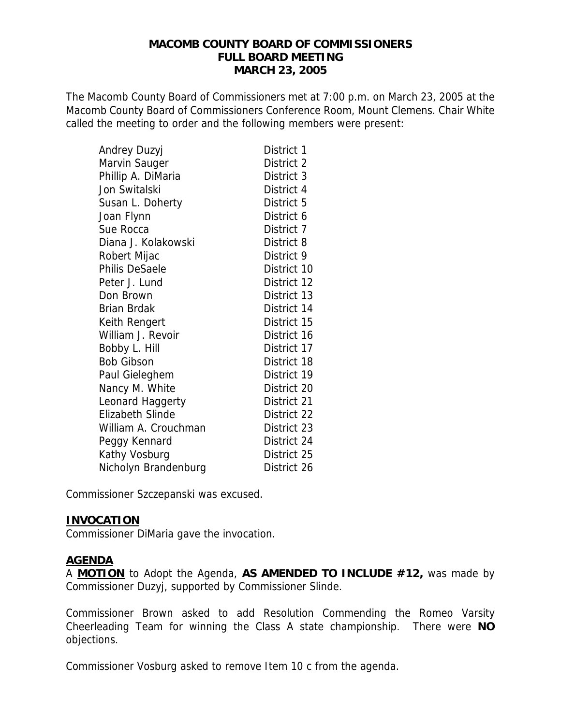#### **MACOMB COUNTY BOARD OF COMMISSIONERS FULL BOARD MEETING MARCH 23, 2005**

The Macomb County Board of Commissioners met at 7:00 p.m. on March 23, 2005 at the Macomb County Board of Commissioners Conference Room, Mount Clemens. Chair White called the meeting to order and the following members were present:

| Andrey Duzyj            | District 1  |
|-------------------------|-------------|
| Marvin Sauger           | District 2  |
| Phillip A. DiMaria      | District 3  |
| Jon Switalski           | District 4  |
| Susan L. Doherty        | District 5  |
| Joan Flynn              | District 6  |
| Sue Rocca               | District 7  |
| Diana J. Kolakowski     | District 8  |
| Robert Mijac            | District 9  |
| Philis DeSaele          | District 10 |
| Peter J. Lund           | District 12 |
| Don Brown               | District 13 |
| <b>Brian Brdak</b>      | District 14 |
| Keith Rengert           | District 15 |
| William J. Revoir       | District 16 |
| Bobby L. Hill           | District 17 |
| <b>Bob Gibson</b>       | District 18 |
| Paul Gieleghem          | District 19 |
| Nancy M. White          | District 20 |
| Leonard Haggerty        | District 21 |
| <b>Elizabeth Slinde</b> | District 22 |
| William A. Crouchman    | District 23 |
| Peggy Kennard           | District 24 |
| Kathy Vosburg           | District 25 |
| Nicholyn Brandenburg    | District 26 |

Commissioner Szczepanski was excused.

#### **INVOCATION**

Commissioner DiMaria gave the invocation.

#### **AGENDA**

A **MOTION** to Adopt the Agenda, **AS AMENDED TO INCLUDE #12,** was made by Commissioner Duzyj, supported by Commissioner Slinde.

Commissioner Brown asked to add Resolution Commending the Romeo Varsity Cheerleading Team for winning the Class A state championship. There were **NO** objections.

Commissioner Vosburg asked to remove Item 10 c from the agenda.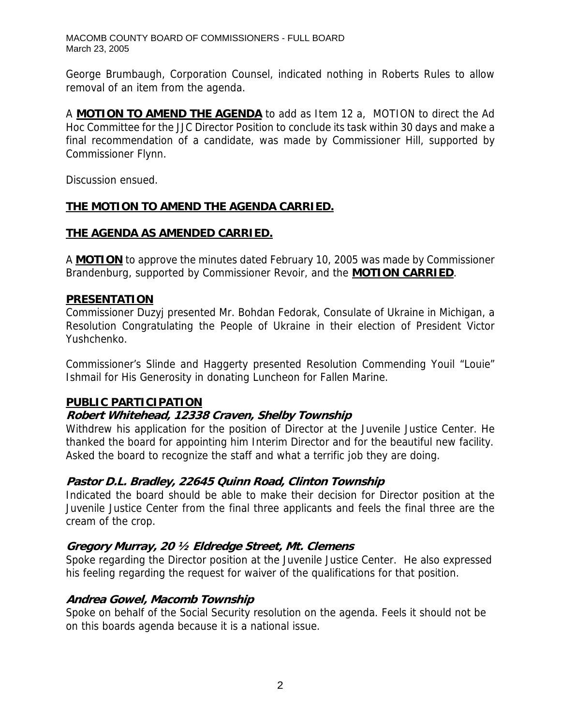George Brumbaugh, Corporation Counsel, indicated nothing in Roberts Rules to allow removal of an item from the agenda.

A **MOTION TO AMEND THE AGENDA** to add as Item 12 a, MOTION to direct the Ad Hoc Committee for the JJC Director Position to conclude its task within 30 days and make a final recommendation of a candidate, was made by Commissioner Hill, supported by Commissioner Flynn.

Discussion ensued.

# **THE MOTION TO AMEND THE AGENDA CARRIED.**

# **THE AGENDA AS AMENDED CARRIED.**

A **MOTION** to approve the minutes dated February 10, 2005 was made by Commissioner Brandenburg, supported by Commissioner Revoir, and the **MOTION CARRIED**.

#### **PRESENTATION**

Commissioner Duzyj presented Mr. Bohdan Fedorak, Consulate of Ukraine in Michigan, a Resolution Congratulating the People of Ukraine in their election of President Victor Yushchenko.

Commissioner's Slinde and Haggerty presented Resolution Commending Youil "Louie" Ishmail for His Generosity in donating Luncheon for Fallen Marine.

#### **PUBLIC PARTICIPATION**

#### **Robert Whitehead, 12338 Craven, Shelby Township**

Withdrew his application for the position of Director at the Juvenile Justice Center. He thanked the board for appointing him Interim Director and for the beautiful new facility. Asked the board to recognize the staff and what a terrific job they are doing.

#### **Pastor D.L. Bradley, 22645 Quinn Road, Clinton Township**

Indicated the board should be able to make their decision for Director position at the Juvenile Justice Center from the final three applicants and feels the final three are the cream of the crop.

#### **Gregory Murray, 20 ½ Eldredge Street, Mt. Clemens**

Spoke regarding the Director position at the Juvenile Justice Center. He also expressed his feeling regarding the request for waiver of the qualifications for that position.

#### **Andrea Gowel, Macomb Township**

Spoke on behalf of the Social Security resolution on the agenda. Feels it should not be on this boards agenda because it is a national issue.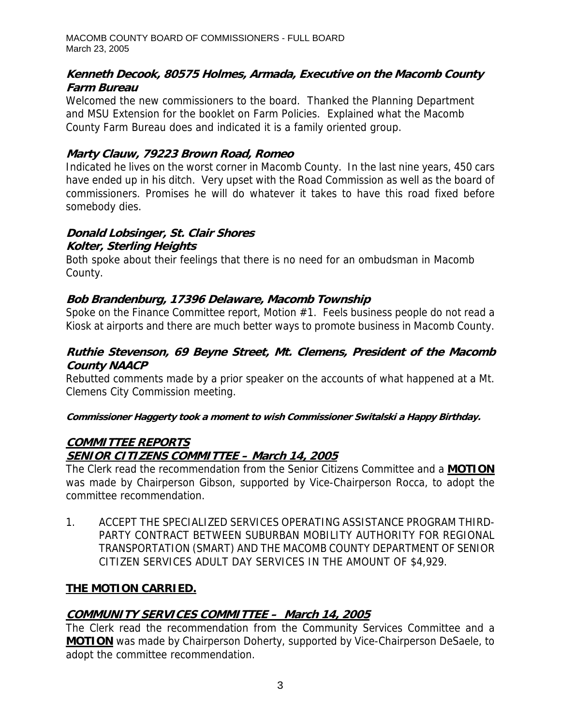# **Kenneth Decook, 80575 Holmes, Armada, Executive on the Macomb County Farm Bureau**

Welcomed the new commissioners to the board. Thanked the Planning Department and MSU Extension for the booklet on Farm Policies. Explained what the Macomb County Farm Bureau does and indicated it is a family oriented group.

# **Marty Clauw, 79223 Brown Road, Romeo**

Indicated he lives on the worst corner in Macomb County. In the last nine years, 450 cars have ended up in his ditch. Very upset with the Road Commission as well as the board of commissioners. Promises he will do whatever it takes to have this road fixed before somebody dies.

# **Donald Lobsinger, St. Clair Shores**

# **Kolter, Sterling Heights**

Both spoke about their feelings that there is no need for an ombudsman in Macomb County.

# **Bob Brandenburg, 17396 Delaware, Macomb Township**

Spoke on the Finance Committee report, Motion #1. Feels business people do not read a Kiosk at airports and there are much better ways to promote business in Macomb County.

# **Ruthie Stevenson, 69 Beyne Street, Mt. Clemens, President of the Macomb County NAACP**

Rebutted comments made by a prior speaker on the accounts of what happened at a Mt. Clemens City Commission meeting.

#### **. Commissioner Haggerty took a moment to wish Commissioner Switalski a Happy Birthday**

# **COMMITTEE REPORTS SENIOR CITIZENS COMMITTEE – March 14, 2005**

The Clerk read the recommendation from the Senior Citizens Committee and a **MOTION** was made by Chairperson Gibson, supported by Vice-Chairperson Rocca, to adopt the committee recommendation.

1. ACCEPT THE SPECIALIZED SERVICES OPERATING ASSISTANCE PROGRAM THIRD-PARTY CONTRACT BETWEEN SUBURBAN MOBILITY AUTHORITY FOR REGIONAL TRANSPORTATION (SMART) AND THE MACOMB COUNTY DEPARTMENT OF SENIOR CITIZEN SERVICES ADULT DAY SERVICES IN THE AMOUNT OF \$4,929.

# **THE MOTION CARRIED.**

# **COMMUNITY SERVICES COMMITTEE – March 14, 2005**

The Clerk read the recommendation from the Community Services Committee and a **MOTION** was made by Chairperson Doherty, supported by Vice-Chairperson DeSaele, to adopt the committee recommendation.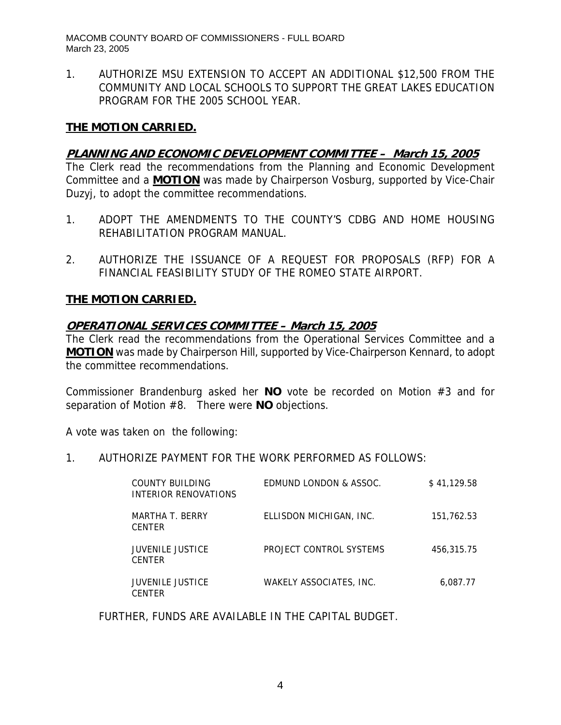1. AUTHORIZE MSU EXTENSION TO ACCEPT AN ADDITIONAL \$12,500 FROM THE COMMUNITY AND LOCAL SCHOOLS TO SUPPORT THE GREAT LAKES EDUCATION PROGRAM FOR THE 2005 SCHOOL YEAR.

#### **THE MOTION CARRIED.**

# **PLANNING AND ECONOMIC DEVELOPMENT COMMITTEE – March 15, 2005**

The Clerk read the recommendations from the Planning and Economic Development Committee and a **MOTION** was made by Chairperson Vosburg, supported by Vice-Chair Duzyj, to adopt the committee recommendations.

- 1. ADOPT THE AMENDMENTS TO THE COUNTY'S CDBG AND HOME HOUSING REHABILITATION PROGRAM MANUAL.
- 2. AUTHORIZE THE ISSUANCE OF A REQUEST FOR PROPOSALS (RFP) FOR A FINANCIAL FEASIBILITY STUDY OF THE ROMEO STATE AIRPORT.

#### **THE MOTION CARRIED.**

#### **OPERATIONAL SERVICES COMMITTEE – March 15, 2005**

The Clerk read the recommendations from the Operational Services Committee and a **MOTION** was made by Chairperson Hill, supported by Vice-Chairperson Kennard, to adopt the committee recommendations.

Commissioner Brandenburg asked her **NO** vote be recorded on Motion #3 and for separation of Motion #8. There were **NO** objections.

A vote was taken on the following:

1. AUTHORIZE PAYMENT FOR THE WORK PERFORMED AS FOLLOWS:

| COUNTY BUILDING<br>INTERIOR RENOVATIONS  | EDMUND LONDON & ASSOC.  | \$41,129.58 |
|------------------------------------------|-------------------------|-------------|
| MARTHA T. BERRY<br><b>CENTER</b>         | ELLISDON MICHIGAN, INC. | 151,762.53  |
| <b>JUVENILE JUSTICE</b><br><b>CENTER</b> | PROJECT CONTROL SYSTEMS | 456,315,75  |
| <b>JUVENILE JUSTICE</b><br><b>CENTER</b> | WAKELY ASSOCIATES. INC. | 6.087.77    |

FURTHER, FUNDS ARE AVAILABLE IN THE CAPITAL BUDGET.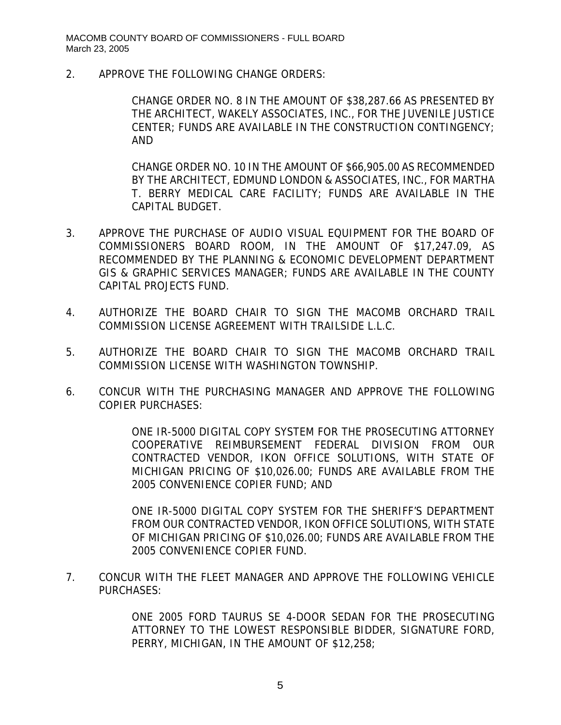2. APPROVE THE FOLLOWING CHANGE ORDERS:

CHANGE ORDER NO. 8 IN THE AMOUNT OF \$38,287.66 AS PRESENTED BY THE ARCHITECT, WAKELY ASSOCIATES, INC., FOR THE JUVENILE JUSTICE CENTER; FUNDS ARE AVAILABLE IN THE CONSTRUCTION CONTINGENCY; AND

CHANGE ORDER NO. 10 IN THE AMOUNT OF \$66,905.00 AS RECOMMENDED BY THE ARCHITECT, EDMUND LONDON & ASSOCIATES, INC., FOR MARTHA T. BERRY MEDICAL CARE FACILITY; FUNDS ARE AVAILABLE IN THE CAPITAL BUDGET.

- 3. APPROVE THE PURCHASE OF AUDIO VISUAL EQUIPMENT FOR THE BOARD OF COMMISSIONERS BOARD ROOM, IN THE AMOUNT OF \$17,247.09, AS RECOMMENDED BY THE PLANNING & ECONOMIC DEVELOPMENT DEPARTMENT GIS & GRAPHIC SERVICES MANAGER; FUNDS ARE AVAILABLE IN THE COUNTY CAPITAL PROJECTS FUND.
- 4. AUTHORIZE THE BOARD CHAIR TO SIGN THE MACOMB ORCHARD TRAIL COMMISSION LICENSE AGREEMENT WITH TRAILSIDE L.L.C.
- 5. AUTHORIZE THE BOARD CHAIR TO SIGN THE MACOMB ORCHARD TRAIL COMMISSION LICENSE WITH WASHINGTON TOWNSHIP.
- 6. CONCUR WITH THE PURCHASING MANAGER AND APPROVE THE FOLLOWING COPIER PURCHASES:

ONE IR-5000 DIGITAL COPY SYSTEM FOR THE PROSECUTING ATTORNEY COOPERATIVE REIMBURSEMENT FEDERAL DIVISION FROM OUR CONTRACTED VENDOR, IKON OFFICE SOLUTIONS, WITH STATE OF MICHIGAN PRICING OF \$10,026.00; FUNDS ARE AVAILABLE FROM THE 2005 CONVENIENCE COPIER FUND; AND

ONE IR-5000 DIGITAL COPY SYSTEM FOR THE SHERIFF'S DEPARTMENT FROM OUR CONTRACTED VENDOR, IKON OFFICE SOLUTIONS, WITH STATE OF MICHIGAN PRICING OF \$10,026.00; FUNDS ARE AVAILABLE FROM THE 2005 CONVENIENCE COPIER FUND.

7. CONCUR WITH THE FLEET MANAGER AND APPROVE THE FOLLOWING VEHICLE PURCHASES:

> ONE 2005 FORD TAURUS SE 4-DOOR SEDAN FOR THE PROSECUTING ATTORNEY TO THE LOWEST RESPONSIBLE BIDDER, SIGNATURE FORD, PERRY, MICHIGAN, IN THE AMOUNT OF \$12,258;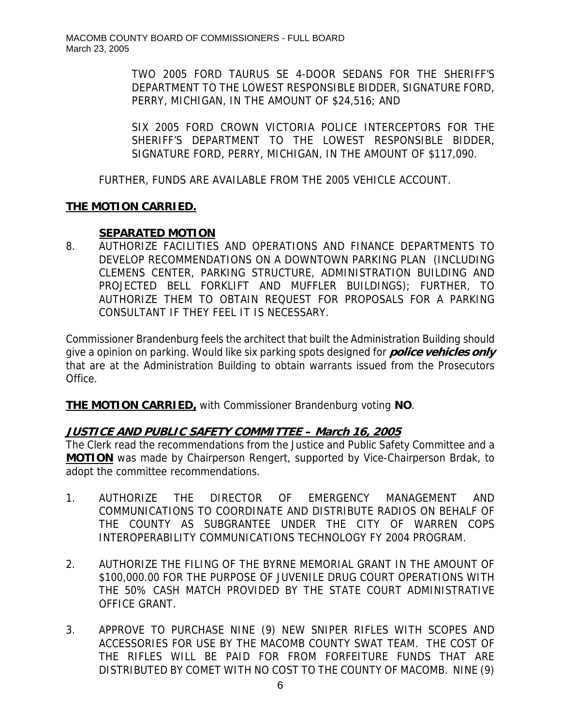TWO 2005 FORD TAURUS SE 4-DOOR SEDANS FOR THE SHERIFF'S DEPARTMENT TO THE LOWEST RESPONSIBLE BIDDER, SIGNATURE FORD, PERRY, MICHIGAN, IN THE AMOUNT OF \$24,516; AND

SIX 2005 FORD CROWN VICTORIA POLICE INTERCEPTORS FOR THE SHERIFF'S DEPARTMENT TO THE LOWEST RESPONSIBLE BIDDER, SIGNATURE FORD, PERRY, MICHIGAN, IN THE AMOUNT OF \$117,090.

FURTHER, FUNDS ARE AVAILABLE FROM THE 2005 VEHICLE ACCOUNT.

# **THE MOTION CARRIED.**

# **SEPARATED MOTION**

8. AUTHORIZE FACILITIES AND OPERATIONS AND FINANCE DEPARTMENTS TO DEVELOP RECOMMENDATIONS ON A DOWNTOWN PARKING PLAN (INCLUDING CLEMENS CENTER, PARKING STRUCTURE, ADMINISTRATION BUILDING AND PROJECTED BELL FORKLIFT AND MUFFLER BUILDINGS); FURTHER, TO AUTHORIZE THEM TO OBTAIN REQUEST FOR PROPOSALS FOR A PARKING CONSULTANT IF THEY FEEL IT IS NECESSARY.

Commissioner Brandenburg feels the architect that built the Administration Building should give a opinion on parking. Would like six parking spots designed for **police vehicles only** that are at the Administration Building to obtain warrants issued from the Prosecutors Office.

**THE MOTION CARRIED,** with Commissioner Brandenburg voting **NO**.

# **JUSTICE AND PUBLIC SAFETY COMMITTEE – March 16, 2005**

The Clerk read the recommendations from the Justice and Public Safety Committee and a **MOTION** was made by Chairperson Rengert, supported by Vice-Chairperson Brdak, to adopt the committee recommendations.

- 1. AUTHORIZE THE DIRECTOR OF EMERGENCY MANAGEMENT AND COMMUNICATIONS TO COORDINATE AND DISTRIBUTE RADIOS ON BEHALF OF THE COUNTY AS SUBGRANTEE UNDER THE CITY OF WARREN COPS INTEROPERABILITY COMMUNICATIONS TECHNOLOGY FY 2004 PROGRAM.
- 2. AUTHORIZE THE FILING OF THE BYRNE MEMORIAL GRANT IN THE AMOUNT OF \$100,000.00 FOR THE PURPOSE OF JUVENILE DRUG COURT OPERATIONS WITH THE 50% CASH MATCH PROVIDED BY THE STATE COURT ADMINISTRATIVE OFFICE GRANT.
- 3. APPROVE TO PURCHASE NINE (9) NEW SNIPER RIFLES WITH SCOPES AND ACCESSORIES FOR USE BY THE MACOMB COUNTY SWAT TEAM. THE COST OF THE RIFLES WILL BE PAID FOR FROM FORFEITURE FUNDS THAT ARE DISTRIBUTED BY COMET WITH NO COST TO THE COUNTY OF MACOMB. NINE (9)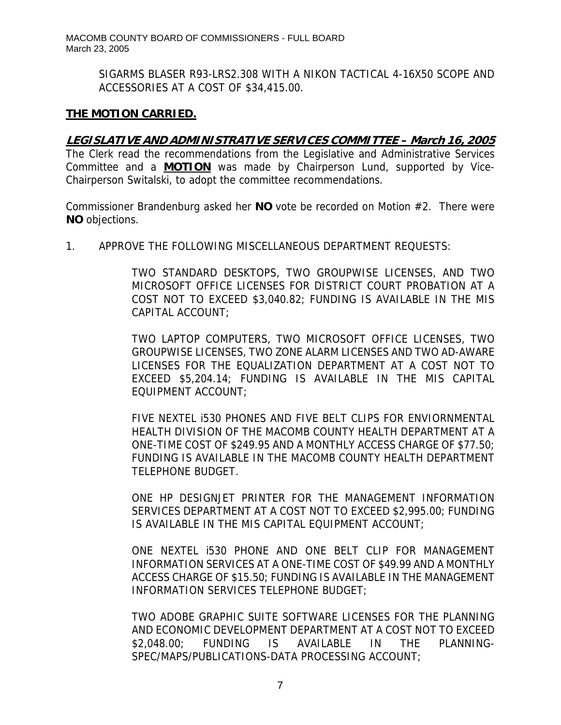SIGARMS BLASER R93-LRS2.308 WITH A NIKON TACTICAL 4-16X50 SCOPE AND ACCESSORIES AT A COST OF \$34,415.00.

# **THE MOTION CARRIED.**

# **LEGISLATIVE AND ADMINISTRATIVE SERVICES COMMITTEE – March 16, 2005**

The Clerk read the recommendations from the Legislative and Administrative Services Committee and a **MOTION** was made by Chairperson Lund, supported by Vice-Chairperson Switalski, to adopt the committee recommendations.

Commissioner Brandenburg asked her **NO** vote be recorded on Motion #2. There were **NO** objections.

1. APPROVE THE FOLLOWING MISCELLANEOUS DEPARTMENT REQUESTS:

TWO STANDARD DESKTOPS, TWO GROUPWISE LICENSES, AND TWO MICROSOFT OFFICE LICENSES FOR DISTRICT COURT PROBATION AT A COST NOT TO EXCEED \$3,040.82; FUNDING IS AVAILABLE IN THE MIS CAPITAL ACCOUNT;

TWO LAPTOP COMPUTERS, TWO MICROSOFT OFFICE LICENSES, TWO GROUPWISE LICENSES, TWO ZONE ALARM LICENSES AND TWO AD-AWARE LICENSES FOR THE EQUALIZATION DEPARTMENT AT A COST NOT TO EXCEED \$5,204.14; FUNDING IS AVAILABLE IN THE MIS CAPITAL EQUIPMENT ACCOUNT;

FIVE NEXTEL i530 PHONES AND FIVE BELT CLIPS FOR ENVIORNMENTAL HEALTH DIVISION OF THE MACOMB COUNTY HEALTH DEPARTMENT AT A ONE-TIME COST OF \$249.95 AND A MONTHLY ACCESS CHARGE OF \$77.50; FUNDING IS AVAILABLE IN THE MACOMB COUNTY HEALTH DEPARTMENT TELEPHONE BUDGET.

ONE HP DESIGNJET PRINTER FOR THE MANAGEMENT INFORMATION SERVICES DEPARTMENT AT A COST NOT TO EXCEED \$2,995.00; FUNDING IS AVAILABLE IN THE MIS CAPITAL EQUIPMENT ACCOUNT;

ONE NEXTEL i530 PHONE AND ONE BELT CLIP FOR MANAGEMENT INFORMATION SERVICES AT A ONE-TIME COST OF \$49.99 AND A MONTHLY ACCESS CHARGE OF \$15.50; FUNDING IS AVAILABLE IN THE MANAGEMENT INFORMATION SERVICES TELEPHONE BUDGET;

TWO ADOBE GRAPHIC SUITE SOFTWARE LICENSES FOR THE PLANNING AND ECONOMIC DEVELOPMENT DEPARTMENT AT A COST NOT TO EXCEED \$2,048.00; FUNDING IS AVAILABLE IN THE PLANNING-SPEC/MAPS/PUBLICATIONS-DATA PROCESSING ACCOUNT;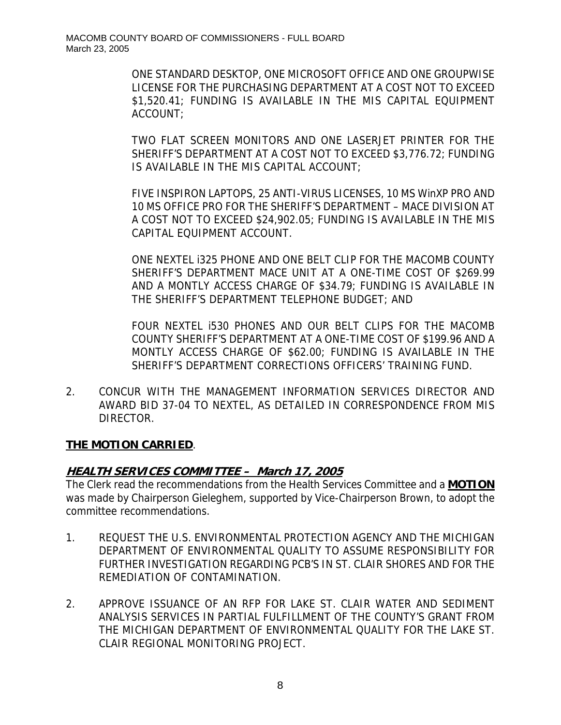ONE STANDARD DESKTOP, ONE MICROSOFT OFFICE AND ONE GROUPWISE LICENSE FOR THE PURCHASING DEPARTMENT AT A COST NOT TO EXCEED \$1,520.41; FUNDING IS AVAILABLE IN THE MIS CAPITAL EQUIPMENT ACCOUNT;

TWO FLAT SCREEN MONITORS AND ONE LASERJET PRINTER FOR THE SHERIFF'S DEPARTMENT AT A COST NOT TO EXCEED \$3,776.72; FUNDING IS AVAILABLE IN THE MIS CAPITAL ACCOUNT;

FIVE INSPIRON LAPTOPS, 25 ANTI-VIRUS LICENSES, 10 MS WinXP PRO AND 10 MS OFFICE PRO FOR THE SHERIFF'S DEPARTMENT – MACE DIVISION AT A COST NOT TO EXCEED \$24,902.05; FUNDING IS AVAILABLE IN THE MIS CAPITAL EQUIPMENT ACCOUNT.

ONE NEXTEL i325 PHONE AND ONE BELT CLIP FOR THE MACOMB COUNTY SHERIFF'S DEPARTMENT MACE UNIT AT A ONE-TIME COST OF \$269.99 AND A MONTLY ACCESS CHARGE OF \$34.79; FUNDING IS AVAILABLE IN THE SHERIFF'S DEPARTMENT TELEPHONE BUDGET; AND

FOUR NEXTEL i530 PHONES AND OUR BELT CLIPS FOR THE MACOMB COUNTY SHERIFF'S DEPARTMENT AT A ONE-TIME COST OF \$199.96 AND A MONTLY ACCESS CHARGE OF \$62.00; FUNDING IS AVAILABLE IN THE SHERIFF'S DEPARTMENT CORRECTIONS OFFICERS' TRAINING FUND.

2. CONCUR WITH THE MANAGEMENT INFORMATION SERVICES DIRECTOR AND AWARD BID 37-04 TO NEXTEL, AS DETAILED IN CORRESPONDENCE FROM MIS DIRECTOR.

# **THE MOTION CARRIED**.

# **HEALTH SERVICES COMMITTEE – March 17, 2005**

The Clerk read the recommendations from the Health Services Committee and a **MOTION** was made by Chairperson Gieleghem, supported by Vice-Chairperson Brown, to adopt the committee recommendations.

- 1. REQUEST THE U.S. ENVIRONMENTAL PROTECTION AGENCY AND THE MICHIGAN DEPARTMENT OF ENVIRONMENTAL QUALITY TO ASSUME RESPONSIBILITY FOR FURTHER INVESTIGATION REGARDING PCB'S IN ST. CLAIR SHORES AND FOR THE REMEDIATION OF CONTAMINATION.
- 2. APPROVE ISSUANCE OF AN RFP FOR LAKE ST. CLAIR WATER AND SEDIMENT ANALYSIS SERVICES IN PARTIAL FULFILLMENT OF THE COUNTY'S GRANT FROM THE MICHIGAN DEPARTMENT OF ENVIRONMENTAL QUALITY FOR THE LAKE ST. CLAIR REGIONAL MONITORING PROJECT.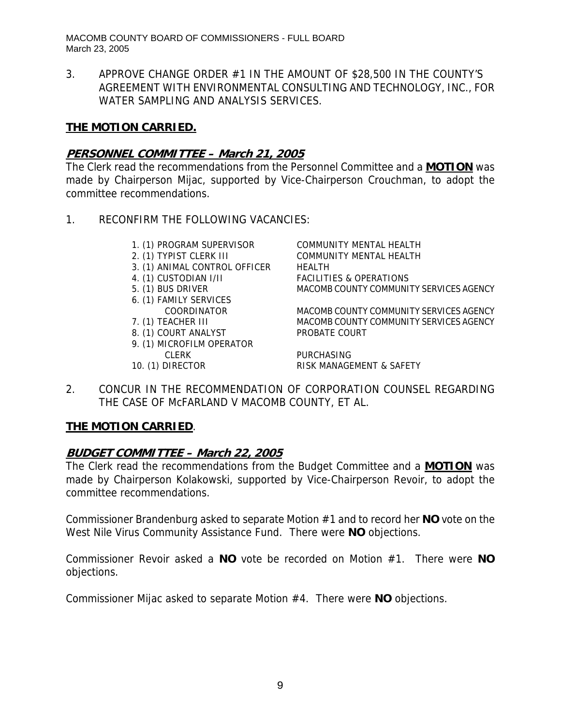3. APPROVE CHANGE ORDER #1 IN THE AMOUNT OF \$28,500 IN THE COUNTY'S AGREEMENT WITH ENVIRONMENTAL CONSULTING AND TECHNOLOGY, INC., FOR WATER SAMPLING AND ANALYSIS SERVICES.

# **THE MOTION CARRIED.**

# **PERSONNEL COMMITTEE – March 21, 2005**

The Clerk read the recommendations from the Personnel Committee and a **MOTION** was made by Chairperson Mijac, supported by Vice-Chairperson Crouchman, to adopt the committee recommendations.

- 1. RECONFIRM THE FOLLOWING VACANCIES:
	- 1. (1) PROGRAM SUPERVISOR COMMUNITY MENTAL HEALTH
	-
	- 3. (1) ANIMAL CONTROL OFFICER HEALTH
	-
	-
	- 6. (1) FAMILY SERVICES
	-
	- 8. (1) COURT ANALYST PROBATE COURT
	- 9. (1) MICROFILM OPERATOR CLERK PURCHASING
	-

2. (1) TYPIST CLERK III COMMUNITY MENTAL HEALTH 4. (1) CUSTODIAN I/II FACILITIES & OPERATIONS 5. (1) BUS DRIVER MACOMB COUNTY COMMUNITY SERVICES AGENCY

 COORDINATOR MACOMB COUNTY COMMUNITY SERVICES AGENCY 7. (1) TEACHER III MACOMB COUNTY COMMUNITY SERVICES AGENCY

10. (1) DIRECTOR RISK MANAGEMENT & SAFETY

2. CONCUR IN THE RECOMMENDATION OF CORPORATION COUNSEL REGARDING THE CASE OF McFARLAND V MACOMB COUNTY, ET AL.

# **THE MOTION CARRIED**.

# **BUDGET COMMITTEE – March 22, 2005**

The Clerk read the recommendations from the Budget Committee and a **MOTION** was made by Chairperson Kolakowski, supported by Vice-Chairperson Revoir, to adopt the committee recommendations.

Commissioner Brandenburg asked to separate Motion #1 and to record her **NO** vote on the West Nile Virus Community Assistance Fund. There were **NO** objections.

Commissioner Revoir asked a **NO** vote be recorded on Motion #1. There were **NO** objections.

Commissioner Mijac asked to separate Motion #4. There were **NO** objections.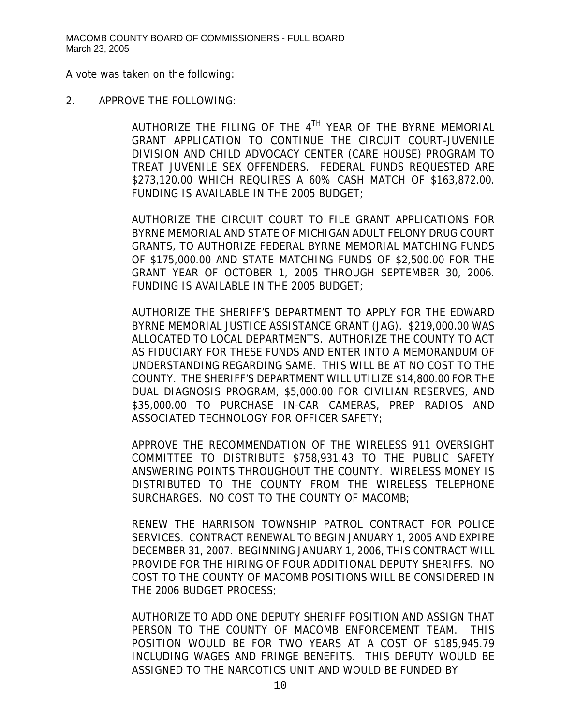A vote was taken on the following:

#### 2. APPROVE THE FOLLOWING:

AUTHORIZE THE FILING OF THE  $4^{TH}$  year of the byrne memorial GRANT APPLICATION TO CONTINUE THE CIRCUIT COURT-JUVENILE DIVISION AND CHILD ADVOCACY CENTER (CARE HOUSE) PROGRAM TO TREAT JUVENILE SEX OFFENDERS. FEDERAL FUNDS REQUESTED ARE \$273,120.00 WHICH REQUIRES A 60% CASH MATCH OF \$163,872.00. FUNDING IS AVAILABLE IN THE 2005 BUDGET;

AUTHORIZE THE CIRCUIT COURT TO FILE GRANT APPLICATIONS FOR BYRNE MEMORIAL AND STATE OF MICHIGAN ADULT FELONY DRUG COURT GRANTS, TO AUTHORIZE FEDERAL BYRNE MEMORIAL MATCHING FUNDS OF \$175,000.00 AND STATE MATCHING FUNDS OF \$2,500.00 FOR THE GRANT YEAR OF OCTOBER 1, 2005 THROUGH SEPTEMBER 30, 2006. FUNDING IS AVAILABLE IN THE 2005 BUDGET;

AUTHORIZE THE SHERIFF'S DEPARTMENT TO APPLY FOR THE EDWARD BYRNE MEMORIAL JUSTICE ASSISTANCE GRANT (JAG). \$219,000.00 WAS ALLOCATED TO LOCAL DEPARTMENTS. AUTHORIZE THE COUNTY TO ACT AS FIDUCIARY FOR THESE FUNDS AND ENTER INTO A MEMORANDUM OF UNDERSTANDING REGARDING SAME. THIS WILL BE AT NO COST TO THE COUNTY. THE SHERIFF'S DEPARTMENT WILL UTILIZE \$14,800.00 FOR THE DUAL DIAGNOSIS PROGRAM, \$5,000.00 FOR CIVILIAN RESERVES, AND \$35,000.00 TO PURCHASE IN-CAR CAMERAS, PREP RADIOS AND ASSOCIATED TECHNOLOGY FOR OFFICER SAFETY;

APPROVE THE RECOMMENDATION OF THE WIRELESS 911 OVERSIGHT COMMITTEE TO DISTRIBUTE \$758,931.43 TO THE PUBLIC SAFETY ANSWERING POINTS THROUGHOUT THE COUNTY. WIRELESS MONEY IS DISTRIBUTED TO THE COUNTY FROM THE WIRELESS TELEPHONE SURCHARGES. NO COST TO THE COUNTY OF MACOMB;

RENEW THE HARRISON TOWNSHIP PATROL CONTRACT FOR POLICE SERVICES. CONTRACT RENEWAL TO BEGIN JANUARY 1, 2005 AND EXPIRE DECEMBER 31, 2007. BEGINNING JANUARY 1, 2006, THIS CONTRACT WILL PROVIDE FOR THE HIRING OF FOUR ADDITIONAL DEPUTY SHERIFFS. NO COST TO THE COUNTY OF MACOMB POSITIONS WILL BE CONSIDERED IN THE 2006 BUDGET PROCESS;

AUTHORIZE TO ADD ONE DEPUTY SHERIFF POSITION AND ASSIGN THAT PERSON TO THE COUNTY OF MACOMB ENFORCEMENT TEAM. THIS POSITION WOULD BE FOR TWO YEARS AT A COST OF \$185,945.79 INCLUDING WAGES AND FRINGE BENEFITS. THIS DEPUTY WOULD BE ASSIGNED TO THE NARCOTICS UNIT AND WOULD BE FUNDED BY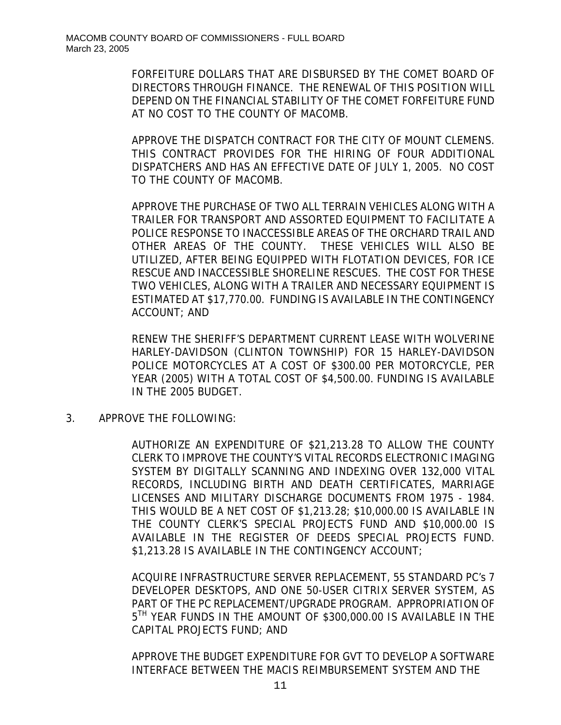FORFEITURE DOLLARS THAT ARE DISBURSED BY THE COMET BOARD OF DIRECTORS THROUGH FINANCE. THE RENEWAL OF THIS POSITION WILL DEPEND ON THE FINANCIAL STABILITY OF THE COMET FORFEITURE FUND AT NO COST TO THE COUNTY OF MACOMB.

APPROVE THE DISPATCH CONTRACT FOR THE CITY OF MOUNT CLEMENS. THIS CONTRACT PROVIDES FOR THE HIRING OF FOUR ADDITIONAL DISPATCHERS AND HAS AN EFFECTIVE DATE OF JULY 1, 2005. NO COST TO THE COUNTY OF MACOMB.

APPROVE THE PURCHASE OF TWO ALL TERRAIN VEHICLES ALONG WITH A TRAILER FOR TRANSPORT AND ASSORTED EQUIPMENT TO FACILITATE A POLICE RESPONSE TO INACCESSIBLE AREAS OF THE ORCHARD TRAIL AND OTHER AREAS OF THE COUNTY. THESE VEHICLES WILL ALSO BE UTILIZED, AFTER BEING EQUIPPED WITH FLOTATION DEVICES, FOR ICE RESCUE AND INACCESSIBLE SHORELINE RESCUES. THE COST FOR THESE TWO VEHICLES, ALONG WITH A TRAILER AND NECESSARY EQUIPMENT IS ESTIMATED AT \$17,770.00. FUNDING IS AVAILABLE IN THE CONTINGENCY ACCOUNT; AND

RENEW THE SHERIFF'S DEPARTMENT CURRENT LEASE WITH WOLVERINE HARLEY-DAVIDSON (CLINTON TOWNSHIP) FOR 15 HARLEY-DAVIDSON POLICE MOTORCYCLES AT A COST OF \$300.00 PER MOTORCYCLE, PER YEAR (2005) WITH A TOTAL COST OF \$4,500.00. FUNDING IS AVAILABLE IN THE 2005 BUDGET.

3. APPROVE THE FOLLOWING:

AUTHORIZE AN EXPENDITURE OF \$21,213.28 TO ALLOW THE COUNTY CLERK TO IMPROVE THE COUNTY'S VITAL RECORDS ELECTRONIC IMAGING SYSTEM BY DIGITALLY SCANNING AND INDEXING OVER 132,000 VITAL RECORDS, INCLUDING BIRTH AND DEATH CERTIFICATES, MARRIAGE LICENSES AND MILITARY DISCHARGE DOCUMENTS FROM 1975 - 1984. THIS WOULD BE A NET COST OF \$1,213.28; \$10,000.00 IS AVAILABLE IN THE COUNTY CLERK'S SPECIAL PROJECTS FUND AND \$10,000.00 IS AVAILABLE IN THE REGISTER OF DEEDS SPECIAL PROJECTS FUND. \$1,213.28 IS AVAILABLE IN THE CONTINGENCY ACCOUNT;

ACQUIRE INFRASTRUCTURE SERVER REPLACEMENT, 55 STANDARD PC's 7 DEVELOPER DESKTOPS, AND ONE 50-USER CITRIX SERVER SYSTEM, AS PART OF THE PC REPLACEMENT/UPGRADE PROGRAM. APPROPRIATION OF 5<sup>TH</sup> YEAR FUNDS IN THE AMOUNT OF \$300,000.00 IS AVAILABLE IN THE CAPITAL PROJECTS FUND; AND

APPROVE THE BUDGET EXPENDITURE FOR GVT TO DEVELOP A SOFTWARE INTERFACE BETWEEN THE MACIS REIMBURSEMENT SYSTEM AND THE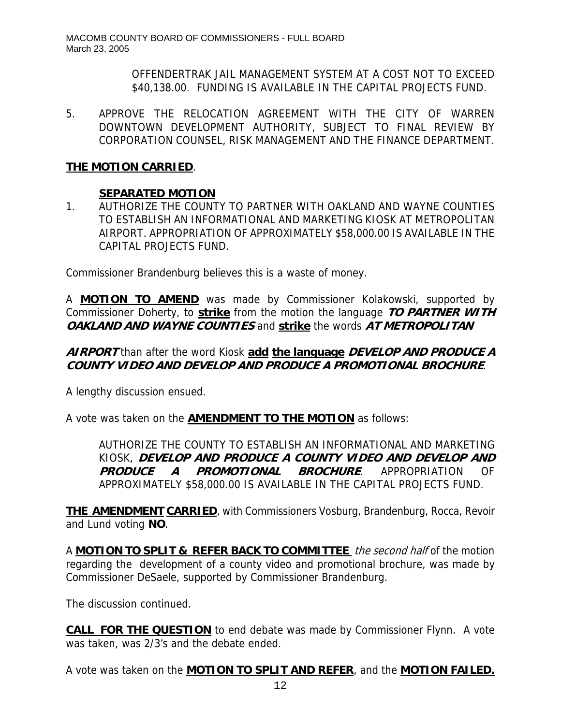OFFENDERTRAK JAIL MANAGEMENT SYSTEM AT A COST NOT TO EXCEED \$40,138.00. FUNDING IS AVAILABLE IN THE CAPITAL PROJECTS FUND.

5. APPROVE THE RELOCATION AGREEMENT WITH THE CITY OF WARREN DOWNTOWN DEVELOPMENT AUTHORITY, SUBJECT TO FINAL REVIEW BY CORPORATION COUNSEL, RISK MANAGEMENT AND THE FINANCE DEPARTMENT.

# **THE MOTION CARRIED**.

# **SEPARATED MOTION**

1. AUTHORIZE THE COUNTY TO PARTNER WITH OAKLAND AND WAYNE COUNTIES TO ESTABLISH AN INFORMATIONAL AND MARKETING KIOSK AT METROPOLITAN AIRPORT. APPROPRIATION OF APPROXIMATELY \$58,000.00 IS AVAILABLE IN THE CAPITAL PROJECTS FUND.

Commissioner Brandenburg believes this is a waste of money.

A **MOTION TO AMEND** was made by Commissioner Kolakowski, supported by Commissioner Doherty, to **strike** from the motion the language **TO PARTNER WITH OAKLAND AND WAYNE COUNTIES** and **strike** the words **AT METROPOLITAN** 

# **AIRPORT** than after the word Kiosk **add the language DEVELOP AND PRODUCE A COUNTY VIDEO AND DEVELOP AND PRODUCE A PROMOTIONAL BROCHURE**.

A lengthy discussion ensued.

A vote was taken on the **AMENDMENT TO THE MOTION** as follows:

AUTHORIZE THE COUNTY TO ESTABLISH AN INFORMATIONAL AND MARKETING KIOSK, **DEVELOP AND PRODUCE A COUNTY VIDEO AND DEVELOP AND PRODUCE A PROMOTIONAL BROCHURE**. APPROPRIATION OF APPROXIMATELY \$58,000.00 IS AVAILABLE IN THE CAPITAL PROJECTS FUND.

**THE AMENDMENT CARRIED**, with Commissioners Vosburg, Brandenburg, Rocca, Revoir and Lund voting **NO**.

A **MOTION TO SPLIT & REFER BACK TO COMMITTEE** the second half of the motion regarding the development of a county video and promotional brochure, was made by Commissioner DeSaele, supported by Commissioner Brandenburg.

The discussion continued.

**CALL FOR THE QUESTION** to end debate was made by Commissioner Flynn. A vote was taken, was 2/3's and the debate ended.

A vote was taken on the **MOTION TO SPLIT AND REFER**, and the **MOTION FAILED.**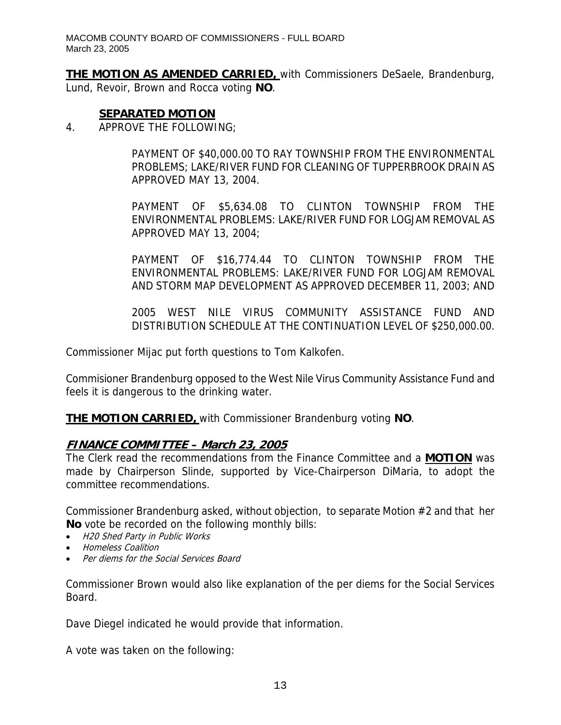**THE MOTION AS AMENDED CARRIED,** with Commissioners DeSaele, Brandenburg, Lund, Revoir, Brown and Rocca voting **NO**.

#### **SEPARATED MOTION**

4. APPROVE THE FOLLOWING;

PAYMENT OF \$40,000.00 TO RAY TOWNSHIP FROM THE ENVIRONMENTAL PROBLEMS; LAKE/RIVER FUND FOR CLEANING OF TUPPERBROOK DRAIN AS APPROVED MAY 13, 2004.

PAYMENT OF \$5,634.08 TO CLINTON TOWNSHIP FROM THE ENVIRONMENTAL PROBLEMS: LAKE/RIVER FUND FOR LOGJAM REMOVAL AS APPROVED MAY 13, 2004;

PAYMENT OF \$16,774.44 TO CLINTON TOWNSHIP FROM THE ENVIRONMENTAL PROBLEMS: LAKE/RIVER FUND FOR LOGJAM REMOVAL AND STORM MAP DEVELOPMENT AS APPROVED DECEMBER 11, 2003; AND

2005 WEST NILE VIRUS COMMUNITY ASSISTANCE FUND AND DISTRIBUTION SCHEDULE AT THE CONTINUATION LEVEL OF \$250,000.00.

Commissioner Mijac put forth questions to Tom Kalkofen.

Commisioner Brandenburg opposed to the West Nile Virus Community Assistance Fund and feels it is dangerous to the drinking water.

**THE MOTION CARRIED,** with Commissioner Brandenburg voting **NO**.

# **FINANCE COMMITTEE – March 23, 2005**

The Clerk read the recommendations from the Finance Committee and a **MOTION** was made by Chairperson Slinde, supported by Vice-Chairperson DiMaria, to adopt the committee recommendations.

Commissioner Brandenburg asked, without objection, to separate Motion #2 and that her **No** vote be recorded on the following monthly bills:

- H20 Shed Party in Public Works
- Homeless Coalition
- Per diems for the Social Services Board

Commissioner Brown would also like explanation of the per diems for the Social Services Board.

Dave Diegel indicated he would provide that information.

A vote was taken on the following: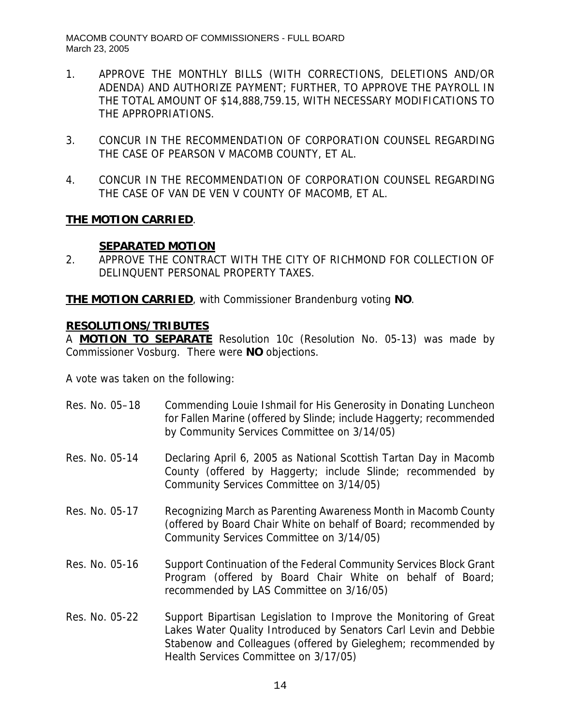- 1. APPROVE THE MONTHLY BILLS (WITH CORRECTIONS, DELETIONS AND/OR ADENDA) AND AUTHORIZE PAYMENT; FURTHER, TO APPROVE THE PAYROLL IN THE TOTAL AMOUNT OF \$14,888,759.15, WITH NECESSARY MODIFICATIONS TO THE APPROPRIATIONS.
- 3. CONCUR IN THE RECOMMENDATION OF CORPORATION COUNSEL REGARDING THE CASE OF PEARSON V MACOMB COUNTY, ET AL.
- 4. CONCUR IN THE RECOMMENDATION OF CORPORATION COUNSEL REGARDING THE CASE OF VAN DE VEN V COUNTY OF MACOMB, ET AL.

# **THE MOTION CARRIED**.

#### **SEPARATED MOTION**

2. APPROVE THE CONTRACT WITH THE CITY OF RICHMOND FOR COLLECTION OF DELINQUENT PERSONAL PROPERTY TAXES.

**THE MOTION CARRIED**, with Commissioner Brandenburg voting **NO**.

#### **RESOLUTIONS/TRIBUTES**

A **MOTION TO SEPARATE** Resolution 10c (Resolution No. 05-13) was made by Commissioner Vosburg. There were **NO** objections.

A vote was taken on the following:

| Res. No. 05-18 | Commending Louie Ishmail for His Generosity in Donating Luncheon<br>for Fallen Marine (offered by Slinde; include Haggerty; recommended<br>by Community Services Committee on 3/14/05)                                                          |
|----------------|-------------------------------------------------------------------------------------------------------------------------------------------------------------------------------------------------------------------------------------------------|
| Res. No. 05-14 | Declaring April 6, 2005 as National Scottish Tartan Day in Macomb<br>County (offered by Haggerty; include Slinde; recommended by<br>Community Services Committee on 3/14/05)                                                                    |
| Res. No. 05-17 | Recognizing March as Parenting Awareness Month in Macomb County<br>(offered by Board Chair White on behalf of Board; recommended by<br>Community Services Committee on 3/14/05)                                                                 |
| Res. No. 05-16 | Support Continuation of the Federal Community Services Block Grant<br>Program (offered by Board Chair White on behalf of Board;<br>recommended by LAS Committee on 3/16/05)                                                                     |
| Res. No. 05-22 | Support Bipartisan Legislation to Improve the Monitoring of Great<br>Lakes Water Quality Introduced by Senators Carl Levin and Debbie<br>Stabenow and Colleagues (offered by Gieleghem; recommended by<br>Health Services Committee on 3/17/05) |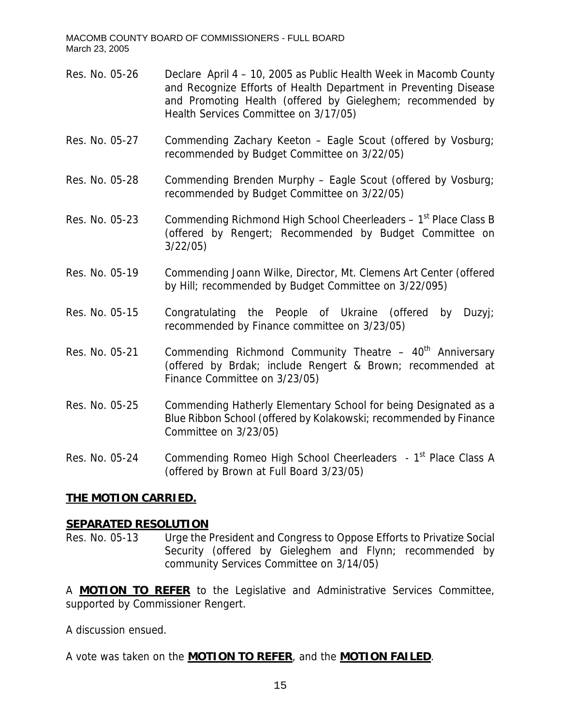- Res. No. 05-26 Declare April 4 10, 2005 as Public Health Week in Macomb County and Recognize Efforts of Health Department in Preventing Disease and Promoting Health (offered by Gieleghem; recommended by Health Services Committee on 3/17/05) Res. No. 05-27 Commending Zachary Keeton – Eagle Scout (offered by Vosburg; recommended by Budget Committee on 3/22/05) Res. No. 05-28 Commending Brenden Murphy – Eagle Scout (offered by Vosburg; recommended by Budget Committee on 3/22/05) Res. No. 05-23 Commending Richmond High School Cheerleaders  $-1<sup>st</sup>$  Place Class B (offered by Rengert; Recommended by Budget Committee on 3/22/05)
- Res. No. 05-19 Commending Joann Wilke, Director, Mt. Clemens Art Center (offered by Hill; recommended by Budget Committee on 3/22/095)
- Res. No. 05-15 Congratulating the People of Ukraine (offered by Duzyj; recommended by Finance committee on 3/23/05)
- Res. No. 05-21 Commending Richmond Community Theatre  $-40<sup>th</sup>$  Anniversary (offered by Brdak; include Rengert & Brown; recommended at Finance Committee on 3/23/05)
- Res. No. 05-25 Commending Hatherly Elementary School for being Designated as a Blue Ribbon School (offered by Kolakowski; recommended by Finance Committee on 3/23/05)

Res. No. 05-24 Commending Romeo High School Cheerleaders - 1<sup>st</sup> Place Class A (offered by Brown at Full Board 3/23/05)

#### **THE MOTION CARRIED.**

#### **SEPARATED RESOLUTION**

Res. No. 05-13 Urge the President and Congress to Oppose Efforts to Privatize Social Security (offered by Gieleghem and Flynn; recommended by community Services Committee on 3/14/05)

A **MOTION TO REFER** to the Legislative and Administrative Services Committee, supported by Commissioner Rengert.

A discussion ensued.

A vote was taken on the **MOTION TO REFER**, and the **MOTION FAILED**.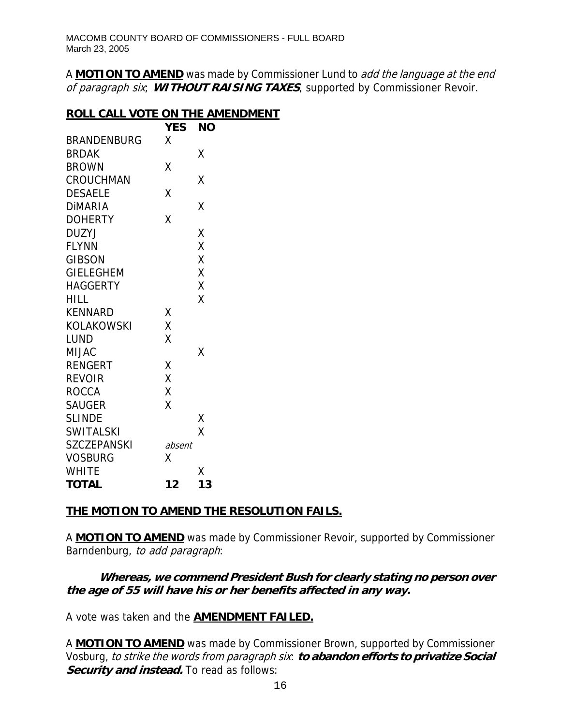A **MOTION TO AMEND** was made by Commissioner Lund to add the language at the end of paragraph six; **WITHOUT RAISING TAXES**, supported by Commissioner Revoir.

#### **ROLL CALL VOTE ON THE AMENDMENT**

|                    | <b>YES</b> | ΝO |
|--------------------|------------|----|
| <b>BRANDENBURG</b> | χ          |    |
| <b>BRDAK</b>       |            | Χ  |
| <b>BROWN</b>       | Χ          |    |
| CROUCHMAN          |            | Χ  |
| <b>DESAELE</b>     | Χ          |    |
| <b>DIMARIA</b>     |            | Χ  |
| <b>DOHERTY</b>     | Χ          |    |
| <b>DUZYJ</b>       |            | Χ  |
| <b>FLYNN</b>       |            | Χ  |
| <b>GIBSON</b>      |            | Χ  |
| <b>GIELEGHEM</b>   |            | Χ  |
| <b>HAGGERTY</b>    |            | Χ  |
| HILL               |            | X  |
| <b>KENNARD</b>     | Χ          |    |
| KOLAKOWSKI         | Χ          |    |
| LUND               | X          |    |
| <b>MIJAC</b>       |            | Χ  |
| <b>RENGERT</b>     | Χ          |    |
| <b>REVOIR</b>      | X          |    |
| <b>ROCCA</b>       | X          |    |
| <b>SAUGER</b>      | Χ          |    |
| <b>SLINDE</b>      |            | Χ  |
| <b>SWITALSKI</b>   |            | X  |
| <b>SZCZEPANSKI</b> | absent     |    |
| <b>VOSBURG</b>     | χ          |    |
| <b>WHITE</b>       |            | Х  |
| <b>TOTAL</b>       | 12         | 13 |

# **THE MOTION TO AMEND THE RESOLUTION FAILS.**

A **MOTION TO AMEND** was made by Commissioner Revoir, supported by Commissioner Barndenburg, to add paragraph:

# **Whereas, we commend President Bush for clearly stating no person over the age of 55 will have his or her benefits affected in any way.**

A vote was taken and the **AMENDMENT FAILED.**

A **MOTION TO AMEND** was made by Commissioner Brown, supported by Commissioner Vosburg, to strike the words from paragraph six: to abandon efforts to privatize Social **Security and instead.** To read as follows: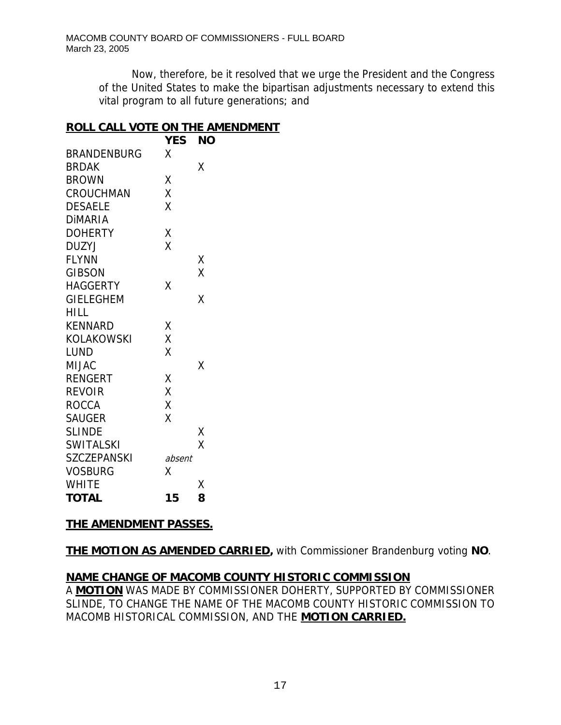Now, therefore, be it resolved that we urge the President and the Congress of the United States to make the bipartisan adjustments necessary to extend this vital program to all future generations; and

#### **ROLL CALL VOTE ON THE AMENDMENT**

|                    | <b>YES</b> | <b>NO</b> |
|--------------------|------------|-----------|
| <b>BRANDENBURG</b> | χ          |           |
| <b>BRDAK</b>       |            | Χ         |
| <b>BROWN</b>       | Χ          |           |
| CROUCHMAN          | X          |           |
| <b>DESAELE</b>     | χ          |           |
| <b>DIMARIA</b>     |            |           |
| <b>DOHERTY</b>     | Χ          |           |
| <b>DUZYJ</b>       | X          |           |
| <b>FLYNN</b>       |            | Χ         |
| <b>GIBSON</b>      |            | X         |
| <b>HAGGERTY</b>    | Χ          |           |
| <b>GIELEGHEM</b>   |            | χ         |
| HILL               |            |           |
| <b>KENNARD</b>     | Χ          |           |
| <b>KOLAKOWSKI</b>  | Χ          |           |
| LUND               | X          |           |
| <b>MIJAC</b>       |            | Χ         |
| <b>RENGERT</b>     | Χ          |           |
| <b>REVOIR</b>      | X          |           |
| <b>ROCCA</b>       | X          |           |
| <b>SAUGER</b>      | X          |           |
| <b>SLINDE</b>      |            | Χ         |
| <b>SWITALSKI</b>   |            | X         |
| <b>SZCZEPANSKI</b> | absent     |           |
| <b>VOSBURG</b>     | χ          |           |
| <b>WHITE</b>       |            | Χ         |
| <b>TOTAL</b>       | 15         | 8         |

#### **THE AMENDMENT PASSES.**

**THE MOTION AS AMENDED CARRIED,** with Commissioner Brandenburg voting **NO**.

# **NAME CHANGE OF MACOMB COUNTY HISTORIC COMMISSION**

A **MOTION** WAS MADE BY COMMISSIONER DOHERTY, SUPPORTED BY COMMISSIONER SLINDE, TO CHANGE THE NAME OF THE MACOMB COUNTY HISTORIC COMMISSION TO MACOMB HISTORICAL COMMISSION, AND THE **MOTION CARRIED.**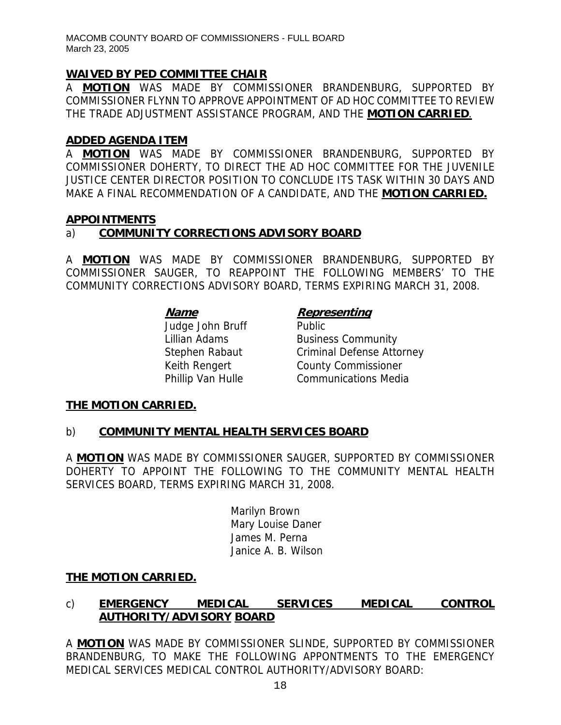# **WAIVED BY PED COMMITTEE CHAIR**

A **MOTION** WAS MADE BY COMMISSIONER BRANDENBURG, SUPPORTED BY COMMISSIONER FLYNN TO APPROVE APPOINTMENT OF AD HOC COMMITTEE TO REVIEW THE TRADE ADJUSTMENT ASSISTANCE PROGRAM, AND THE **MOTION CARRIED**.

#### **ADDED AGENDA ITEM**

A **MOTION** WAS MADE BY COMMISSIONER BRANDENBURG, SUPPORTED BY COMMISSIONER DOHERTY, TO DIRECT THE AD HOC COMMITTEE FOR THE JUVENILE JUSTICE CENTER DIRECTOR POSITION TO CONCLUDE ITS TASK WITHIN 30 DAYS AND MAKE A FINAL RECOMMENDATION OF A CANDIDATE, AND THE **MOTION CARRIED.**

#### **APPOINTMENTS**

# a) **COMMUNITY CORRECTIONS ADVISORY BOARD**

A **MOTION** WAS MADE BY COMMISSIONER BRANDENBURG, SUPPORTED BY COMMISSIONER SAUGER, TO REAPPOINT THE FOLLOWING MEMBERS' TO THE COMMUNITY CORRECTIONS ADVISORY BOARD, TERMS EXPIRING MARCH 31, 2008.

Judge John Bruff Public

#### **Name Representing**

Lillian Adams **Business Community** Stephen Rabaut Criminal Defense Attorney Keith Rengert County Commissioner Phillip Van Hulle Communications Media

#### **THE MOTION CARRIED.**

#### b) **COMMUNITY MENTAL HEALTH SERVICES BOARD**

A **MOTION** WAS MADE BY COMMISSIONER SAUGER, SUPPORTED BY COMMISSIONER DOHERTY TO APPOINT THE FOLLOWING TO THE COMMUNITY MENTAL HEALTH SERVICES BOARD, TERMS EXPIRING MARCH 31, 2008.

> Marilyn Brown Mary Louise Daner James M. Perna Janice A. B. Wilson

#### **THE MOTION CARRIED.**

# c) **EMERGENCY MEDICAL SERVICES MEDICAL CONTROL AUTHORITY/ADVISORY BOARD**

A **MOTION** WAS MADE BY COMMISSIONER SLINDE, SUPPORTED BY COMMISSIONER BRANDENBURG, TO MAKE THE FOLLOWING APPONTMENTS TO THE EMERGENCY MEDICAL SERVICES MEDICAL CONTROL AUTHORITY/ADVISORY BOARD: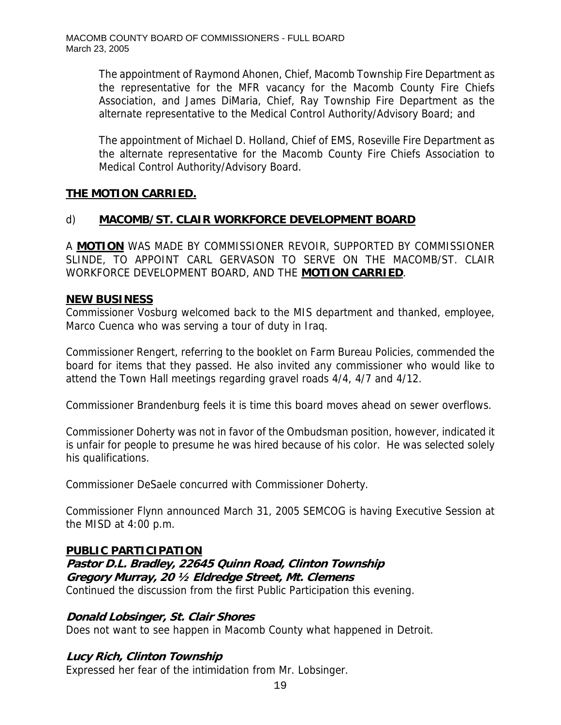The appointment of Raymond Ahonen, Chief, Macomb Township Fire Department as the representative for the MFR vacancy for the Macomb County Fire Chiefs Association, and James DiMaria, Chief, Ray Township Fire Department as the alternate representative to the Medical Control Authority/Advisory Board; and

The appointment of Michael D. Holland, Chief of EMS, Roseville Fire Department as the alternate representative for the Macomb County Fire Chiefs Association to Medical Control Authority/Advisory Board.

# **THE MOTION CARRIED.**

# d) **MACOMB/ST. CLAIR WORKFORCE DEVELOPMENT BOARD**

A **MOTION** WAS MADE BY COMMISSIONER REVOIR, SUPPORTED BY COMMISSIONER SLINDE, TO APPOINT CARL GERVASON TO SERVE ON THE MACOMB/ST. CLAIR WORKFORCE DEVELOPMENT BOARD, AND THE **MOTION CARRIED**.

#### **NEW BUSINESS**

Commissioner Vosburg welcomed back to the MIS department and thanked, employee, Marco Cuenca who was serving a tour of duty in Iraq.

Commissioner Rengert, referring to the booklet on Farm Bureau Policies, commended the board for items that they passed. He also invited any commissioner who would like to attend the Town Hall meetings regarding gravel roads 4/4, 4/7 and 4/12.

Commissioner Brandenburg feels it is time this board moves ahead on sewer overflows.

Commissioner Doherty was not in favor of the Ombudsman position, however, indicated it is unfair for people to presume he was hired because of his color. He was selected solely his qualifications.

Commissioner DeSaele concurred with Commissioner Doherty.

Commissioner Flynn announced March 31, 2005 SEMCOG is having Executive Session at the MISD at 4:00 p.m.

#### **PUBLIC PARTICIPATION**

#### **Pastor D.L. Bradley, 22645 Quinn Road, Clinton Township Gregory Murray, 20 ½ Eldredge Street, Mt. Clemens**  Continued the discussion from the first Public Participation this evening.

#### **Donald Lobsinger, St. Clair Shores**

Does not want to see happen in Macomb County what happened in Detroit.

# **Lucy Rich, Clinton Township**

Expressed her fear of the intimidation from Mr. Lobsinger.